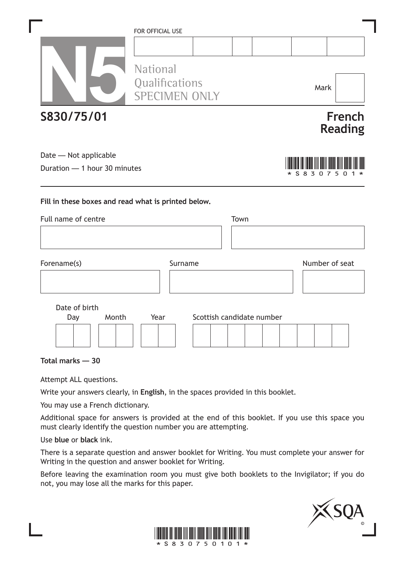|                                                                            | FOR OFFICIAL USE                  |                      |      |                           |                        |                          |
|----------------------------------------------------------------------------|-----------------------------------|----------------------|------|---------------------------|------------------------|--------------------------|
|                                                                            |                                   |                      |      |                           |                        |                          |
|                                                                            | <b>National</b><br>Qualifications | <b>SPECIMEN ONLY</b> |      |                           | Mark                   |                          |
| S830/75/01                                                                 |                                   |                      |      |                           |                        | French<br><b>Reading</b> |
| Date - Not applicable                                                      |                                   |                      |      |                           |                        |                          |
| Duration - 1 hour 30 minutes                                               |                                   |                      |      |                           | 8<br>3<br><sup>n</sup> | 5                        |
| Fill in these boxes and read what is printed below.<br>Full name of centre |                                   |                      | Town |                           |                        |                          |
| Forename(s)                                                                |                                   | Surname              |      |                           | Number of seat         |                          |
|                                                                            |                                   |                      |      |                           |                        |                          |
| Date of birth                                                              |                                   |                      |      |                           |                        |                          |
| Month<br>Day                                                               | Year                              |                      |      | Scottish candidate number |                        |                          |
| Total marks - 30                                                           |                                   |                      |      |                           |                        |                          |

Attempt ALL questions.

Write your answers clearly, in **English**, in the spaces provided in this booklet.

You may use a French dictionary.

Additional space for answers is provided at the end of this booklet. If you use this space you must clearly identify the question number you are attempting.

Use **blue** or **black** ink.

There is a separate question and answer booklet for Writing. You must complete your answer for Writing in the question and answer booklet for Writing.

Before leaving the examination room you must give both booklets to the Invigilator; if you do not, you may lose all the marks for this paper.



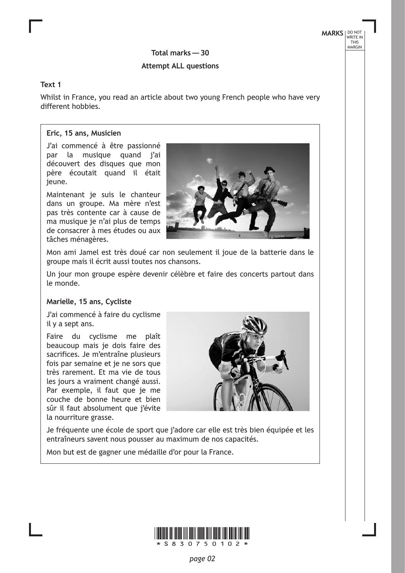**MARKS** NO NOT THIS MARGIN

**Total marks— 30**

### **Attempt ALL questions**

#### **Text 1**

Whilst in France, you read an article about two young French people who have very different hobbies.

### **Eric, 15 ans, Musicien**

J'ai commencé à être passionné par la musique quand j'ai découvert des disques que mon père écoutait quand il était jeune.

Maintenant je suis le chanteur dans un groupe. Ma mère n'est pas très contente car à cause de ma musique je n'ai plus de temps de consacrer à mes études ou aux tâches ménagères.



Mon ami Jamel est très doué car non seulement il joue de la batterie dans le groupe mais il écrit aussi toutes nos chansons.

Un jour mon groupe espère devenir célèbre et faire des concerts partout dans le monde.

#### **Marielle, 15 ans, Cycliste**

J'ai commencé à faire du cyclisme il y a sept ans.

Faire du cyclisme me plaît beaucoup mais je dois faire des sacrifices. Je m'entraîne plusieurs fois par semaine et je ne sors que très rarement. Et ma vie de tous les jours a vraiment changé aussi. Par exemple, il faut que je me couche de bonne heure et bien sûr il faut absolument que j'évite la nourriture grasse.



Je fréquente une école de sport que j'adore car elle est très bien équipée et les entraîneurs savent nous pousser au maximum de nos capacités.

Mon but est de gagner une médaille d'or pour la France.

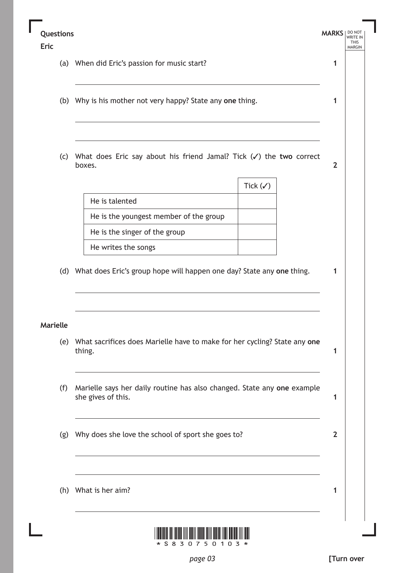### **Questions**

### **Eric**

(a) When did Eric's passion for music start?

- (b) Why is his mother not very happy? State any **one** thing.
- (c) What does Eric say about his friend Jamal? Tick (3) the **two** correct boxes.

|                                        | Tick $(\checkmark)$ |
|----------------------------------------|---------------------|
| He is talented                         |                     |
| He is the youngest member of the group |                     |
| He is the singer of the group          |                     |
| He writes the songs                    |                     |

(d) What does Eric's group hope will happen one day? State any **one** thing.

### **Marielle**

- (e) What sacrifices does Marielle have to make for her cycling? State any **one** thing.
- (f) Marielle says her daily routine has also changed. State any **one** example she gives of this.
- (g) Why does she love the school of sport she goes to?
- (h) What is her aim?



**MARKS** NO NOT

**1**

**1**

**2**

**1**

**1**

**1**

**2**

**1**

THIS MARGIN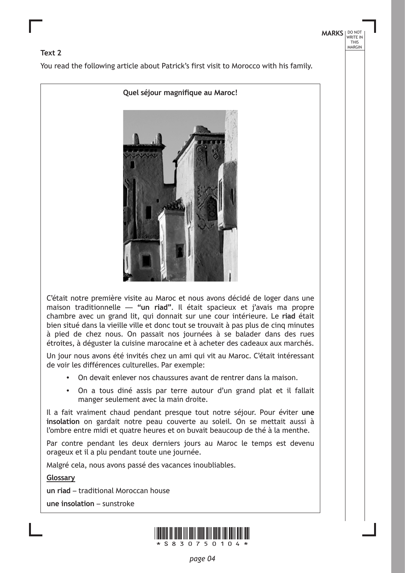### **Text 2**

You read the following article about Patrick's first visit to Morocco with his family.





C'était notre première visite au Maroc et nous avons décidé de loger dans une maison traditionnelle — **"un riad"**. Il était spacieux et j'avais ma propre chambre avec un grand lit, qui donnait sur une cour intérieure. Le **riad** était bien situé dans la vieille ville et donc tout se trouvait à pas plus de cinq minutes à pied de chez nous. On passait nos journées à se balader dans des rues étroites, à déguster la cuisine marocaine et à acheter des cadeaux aux marchés.

Un jour nous avons été invités chez un ami qui vit au Maroc. C'était intéressant de voir les différences culturelles. Par exemple:

- On devait enlever nos chaussures avant de rentrer dans la maison.
- On a tous diné assis par terre autour d'un grand plat et il fallait manger seulement avec la main droite.

Il a fait vraiment chaud pendant presque tout notre séjour. Pour éviter **une insolation** on gardait notre peau couverte au soleil. On se mettait aussi à l'ombre entre midi et quatre heures et on buvait beaucoup de thé à la menthe.

Par contre pendant les deux derniers jours au Maroc le temps est devenu orageux et il a plu pendant toute une journée.

Malgré cela, nous avons passé des vacances inoubliables.

**Glossary**

**un riad** – traditional Moroccan house

**une insolation** – sunstroke

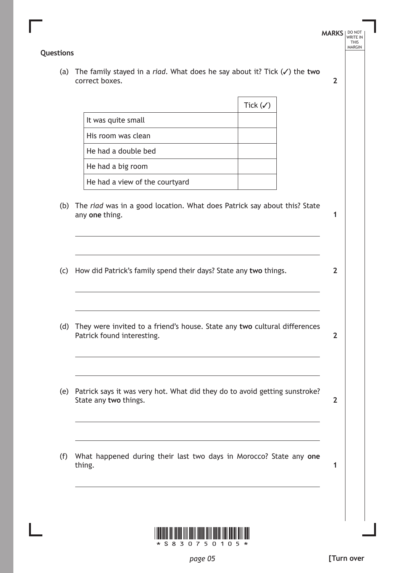### **Questions**

(a) The family stayed in a *riad*. What does he say about it? Tick ( $\checkmark$ ) the two correct boxes.

|                                | Tick $(\checkmark)$ |
|--------------------------------|---------------------|
| It was quite small             |                     |
| His room was clean             |                     |
| He had a double bed            |                     |
| He had a big room              |                     |
| He had a view of the courtyard |                     |

- (b) The *riad* was in a good location. What does Patrick say about this? State any **one** thing.
- (c) How did Patrick's family spend their days? State any **two** things.
- (d) They were invited to a friend's house. State any **two** cultural differences Patrick found interesting.
- (e) Patrick says it was very hot. What did they do to avoid getting sunstroke? State any **two** things.
- (f) What happened during their last two days in Morocco? State any **one** thing.



**[Turn over**

**MARKS** NO NOT THIS MARGIN

**2**

**1**

**2**

**2**

**2**

**1**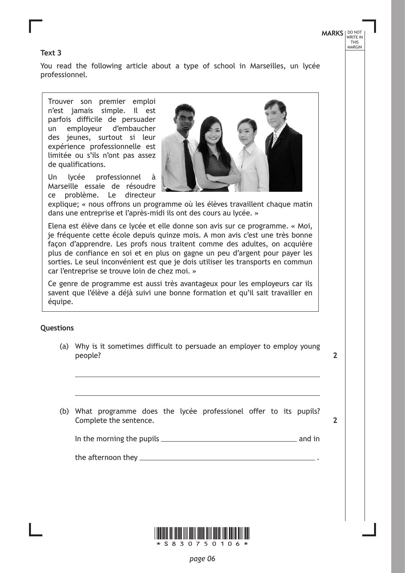### **Text 3**

You read the following article about a type of school in Marseilles, un lycée professionnel.

Trouver son premier emploi n'est jamais simple. Il est parfois difficile de persuader un employeur d'embaucher des jeunes, surtout si leur expérience professionnelle est limitée ou s'ils n'ont pas assez de qualifications.

Un lycée professionnel à Marseille essaie de résoudre ce problème. Le directeur



explique; « nous offrons un programme où les élèves travaillent chaque matin dans une entreprise et l'après-midi ils ont des cours au lycée. »

Elena est élève dans ce lycée et elle donne son avis sur ce programme. « Moi, je fréquente cette école depuis quinze mois. A mon avis c'est une très bonne façon d'apprendre. Les profs nous traitent comme des adultes, on acquière plus de confiance en soi et en plus on gagne un peu d'argent pour payer les sorties. Le seul inconvénient est que je dois utiliser les transports en commun car l'entreprise se trouve loin de chez moi. »

Ce genre de programme est aussi très avantageux pour les employeurs car ils savent que l'élève a déjà suivi une bonne formation et qu'il sait travailler en équipe.

### **Questions**

(a) Why is it sometimes difficult to persuade an employer to employ young people?

**2**

**2**

(b) What programme does the lycée professionel offer to its pupils? Complete the sentence.

In the morning the pupils and in

the afternoon they .

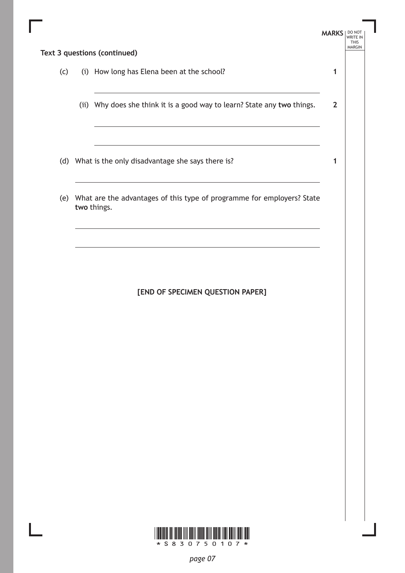|     | Text 3 questions (continued)                                                          | <b>MARKS</b> | DO NOT<br><b>THIS</b><br><b>MARGIN</b> |
|-----|---------------------------------------------------------------------------------------|--------------|----------------------------------------|
|     |                                                                                       |              |                                        |
| (c) | (i) How long has Elena been at the school?                                            | 1            |                                        |
|     | (ii) Why does she think it is a good way to learn? State any two things.              | $\mathbf{2}$ |                                        |
|     | (d) What is the only disadvantage she says there is?                                  |              |                                        |
| (e) | What are the advantages of this type of programme for employers? State<br>two things. |              |                                        |

## **[END OF SPECIMEN QUESTION PAPER]**

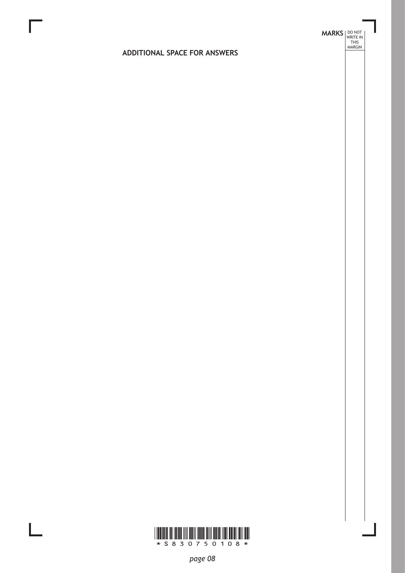# **MARKS DO NOT
WRITE IN** <br>
THIS
MARGIN

### **ADDITIONAL SPACE FOR ANSWERS**



 $\mathbb{R}^{\mathbb{Z}}$ 

*page 08*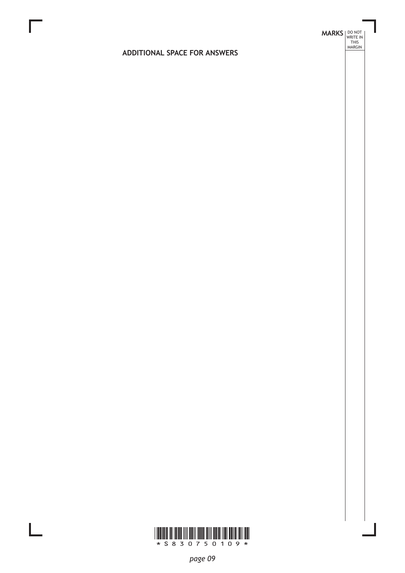# **MARKS DO NOT
WRITE IN** <br>
THIS
MARGIN

### **ADDITIONAL SPACE FOR ANSWERS**



 $\mathbb{R}^{\mathbb{Z}}$ 

*page 09*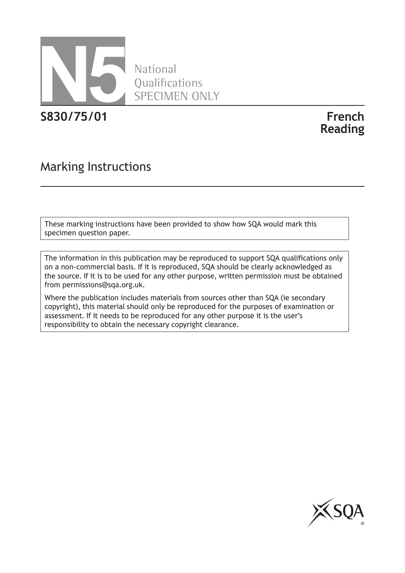

National **Oualifications** SPECIMEN ONLY

**S830/75/01 French**

**Reading**

# Marking Instructions

These marking instructions have been provided to show how SQA would mark this specimen question paper.

The information in this publication may be reproduced to support SQA qualifications only on a non-commercial basis. If it is reproduced, SQA should be clearly acknowledged as the source. If it is to be used for any other purpose, written permission must be obtained from permissions@sqa.org.uk.

Where the publication includes materials from sources other than SQA (ie secondary copyright), this material should only be reproduced for the purposes of examination or assessment. If it needs to be reproduced for any other purpose it is the user's responsibility to obtain the necessary copyright clearance.

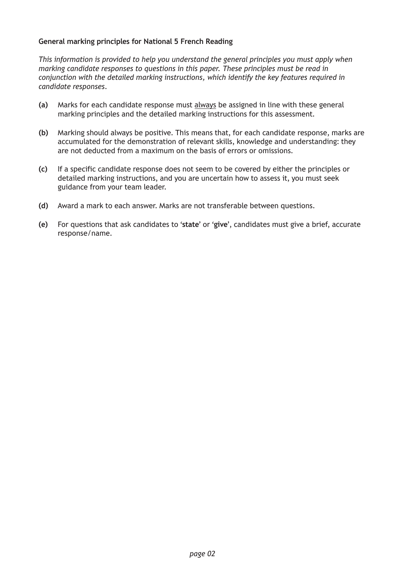### **General marking principles for National 5 French Reading**

*This information is provided to help you understand the general principles you must apply when marking candidate responses to questions in this paper. These principles must be read in conjunction with the detailed marking instructions, which identify the key features required in candidate responses.*

- **(a)** Marks for each candidate response must always be assigned in line with these general marking principles and the detailed marking instructions for this assessment.
- **(b)** Marking should always be positive. This means that, for each candidate response, marks are accumulated for the demonstration of relevant skills, knowledge and understanding: they are not dedUcted from a maximum on the basis of errors or omissions.
- **(c)** If a specific candidate response does not seem to be covered by either the principles or detailed marking instructions, and you are uncertain how to assess it, you must seek guidance from your team leader.
- **(d)** Award a mark to each answer. Marks are not transferable between questions.
- **(e)** For questions that ask candidates to '**state**' or '**give**', candidates must give a brief, accurate response/name.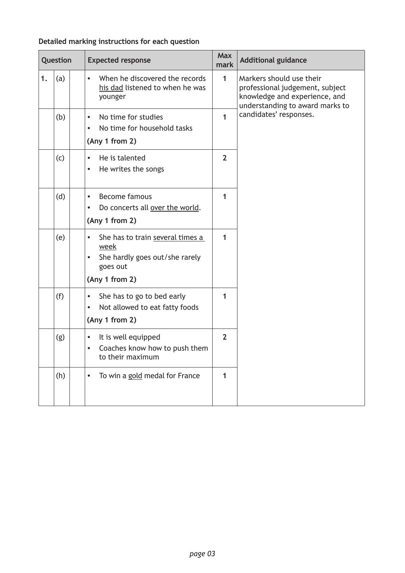### **Question** Expected response **Max Max Max Max mark Additional guidance 1.**  $|a|$  **•** When he discovered the records his dad listened to when he was younger **1** Markers should use their professional judgement, subject knowledge and experience, and understanding to award marks to (b)  $\begin{vmatrix} \cdot & \cdot & \cdot \\ \cdot & \cdot & \cdot \\ \cdot & \cdot & \cdot & \cdot \end{vmatrix}$  oandidates' responses. • No time for household tasks **(Any 1 from 2) 1**  $(c)$   $\cdot$  He is talented • He writes the songs **2** (d)  $\left| \cdot \right|$  Become famous • Do concerts all over the world. **(Any 1 from 2) 1** (e)  $\vert \cdot \vert$  She has to train several times a week • She hardly goes out/she rarely goes out **(Any 1 from 2) 1** (f)  $\vert \cdot \vert$  She has to go to bed early • Not allowed to eat fatty foods **(Any 1 from 2) 1**  $(g)$   $\cdot$  It is well equipped • Coaches know how to push them to their maximum **2** (h)  $\left| \cdot \right|$  To win a gold medal for France  $\left| \right|$  1

### **Detailed marking instructions for each question**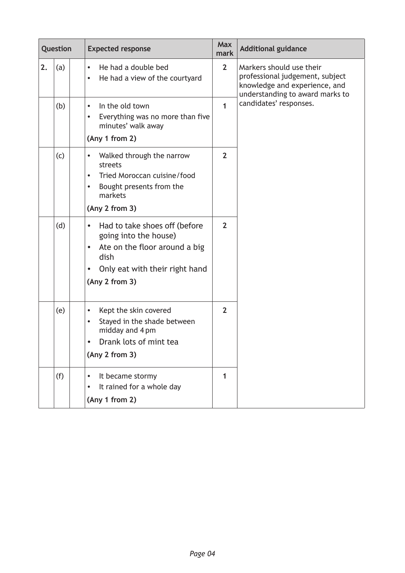| Question |     | <b>Expected response</b>                                                                                                                                                                   |                | <b>Additional guidance</b>                                                                                                      |  |  |
|----------|-----|--------------------------------------------------------------------------------------------------------------------------------------------------------------------------------------------|----------------|---------------------------------------------------------------------------------------------------------------------------------|--|--|
| 2.       | (a) | He had a double bed<br>$\bullet$<br>He had a view of the courtyard<br>$\bullet$                                                                                                            | $\overline{2}$ | Markers should use their<br>professional judgement, subject<br>knowledge and experience, and<br>understanding to award marks to |  |  |
|          | (b) | In the old town<br>$\bullet$<br>Everything was no more than five<br>minutes' walk away<br>(Any 1 from 2)                                                                                   | 1              | candidates' responses.                                                                                                          |  |  |
|          | (c) | Walked through the narrow<br>$\bullet$<br>streets<br>Tried Moroccan cuisine/food<br>$\bullet$<br>Bought presents from the<br>$\bullet$<br>markets<br>(Any 2 from 3)                        | $\overline{2}$ |                                                                                                                                 |  |  |
|          | (d) | Had to take shoes off (before<br>$\bullet$<br>going into the house)<br>Ate on the floor around a big<br>$\bullet$<br>dish<br>Only eat with their right hand<br>$\bullet$<br>(Any 2 from 3) | $\overline{2}$ |                                                                                                                                 |  |  |
|          | (e) | Kept the skin covered<br>$\bullet$<br>Stayed in the shade between<br>$\bullet$<br>midday and 4 pm<br>Drank lots of mint tea<br>(Any 2 from 3)                                              | $\overline{2}$ |                                                                                                                                 |  |  |
|          | (f) | It became stormy<br>It rained for a whole day<br>$\bullet$<br>(Any 1 from 2)                                                                                                               | 1              |                                                                                                                                 |  |  |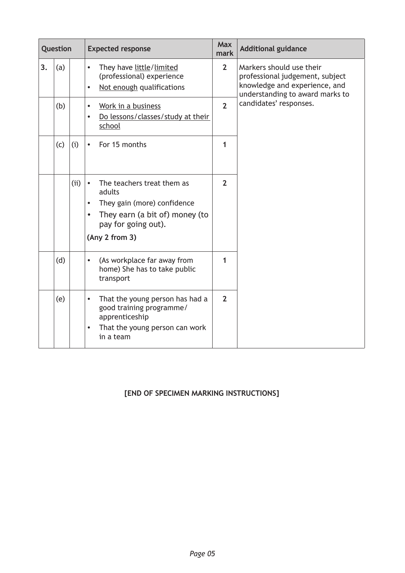| Question |     |     | <b>Expected response</b>                                                                                                                                                              |                | <b>Additional guidance</b>                                                                                                      |
|----------|-----|-----|---------------------------------------------------------------------------------------------------------------------------------------------------------------------------------------|----------------|---------------------------------------------------------------------------------------------------------------------------------|
| 3.       | (a) |     | They have little/limited<br>$\bullet$<br>(professional) experience<br>Not enough qualifications                                                                                       | $\overline{2}$ | Markers should use their<br>professional judgement, subject<br>knowledge and experience, and<br>understanding to award marks to |
|          | (b) |     | Work in a business<br>$\bullet$<br>Do lessons/classes/study at their<br>school                                                                                                        | $\overline{2}$ | candidates' responses.                                                                                                          |
|          | (c) | (i) | For 15 months<br>$\bullet$                                                                                                                                                            | 1              |                                                                                                                                 |
|          |     | (i) | The teachers treat them as<br>$\bullet$<br>adults<br>They gain (more) confidence<br>$\bullet$<br>They earn (a bit of) money (to<br>$\bullet$<br>pay for going out).<br>(Any 2 from 3) | $\overline{2}$ |                                                                                                                                 |
|          | (d) |     | (As workplace far away from<br>$\bullet$<br>home) She has to take public<br>transport                                                                                                 | 1              |                                                                                                                                 |
|          | (e) |     | That the young person has had a<br>$\bullet$<br>good training programme/<br>apprenticeship<br>That the young person can work<br>$\bullet$<br>in a team                                | $\overline{2}$ |                                                                                                                                 |

### **[END OF SPECIMEN MARKING INSTRUCTIONS]**